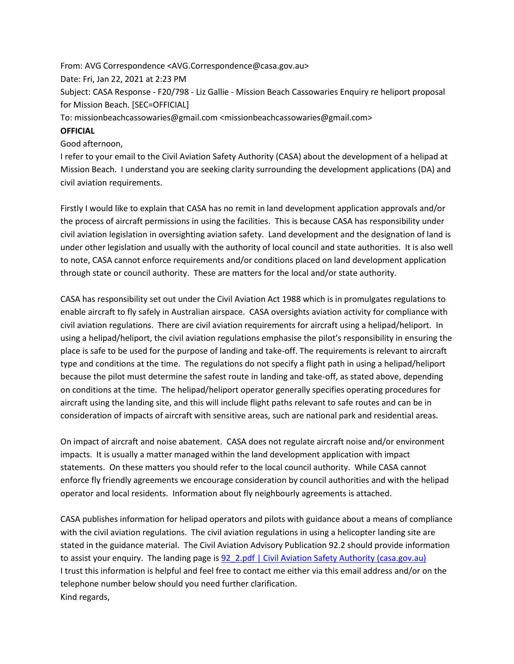From: AVG Correspondence <AVG.Correspondence@casa.gov.au> Date: Fri, Jan 22, 2021 at 2:23 PM Subject: CASA Response - F20/798 - Liz Gallie - Mission Beach Cassowaries Enquiry re heliport proposal for Mission Beach. [SEC=OFFICIAL] To: missionbeachcassowaries@gmail.com <missionbeachcassowaries@gmail.com>

## **OFFICIAL**

## Good afternoon,

I refer to your email to the Civil Aviation Safety Authority (CASA) about the development of a helipad at Mission Beach. I understand you are seeking clarity surrounding the development applications (DA) and civil aviation requirements.

Firstly I would like to explain that CASA has no remit in land development application approvals and/or the process of aircraft permissions in using the facilities. This is because CASA has responsibility under civil aviation legislation in oversighting aviation safety. Land development and the designation of land is under other legislation and usually with the authority of local council and state authorities. It is also well to note, CASA cannot enforce requirements and/or conditions placed on land development application through state or council authority. These are matters for the local and/or state authority.

CASA has responsibility set out under the Civil Aviation Act 1988 which is in promulgates regulations to enable aircraft to fly safely in Australian airspace. CASA oversights aviation activity for compliance with civil aviation regulations. There are civil aviation requirements for aircraft using a helipad/heliport. In using a helipad/heliport, the civil aviation regulations emphasise the pilot's responsibility in ensuring the place is safe to be used for the purpose of landing and take-off. The requirements is relevant to aircraft type and conditions at the time. The regulations do not specify a flight path in using a helipad/heliport because the pilot must determine the safest route in landing and take-off, as stated above, depending on conditions at the time. The helipad/heliport operator generally specifies operating procedures for aircraft using the landing site, and this will include flight paths relevant to safe routes and can be in consideration of impacts of aircraft with sensitive areas, such are national park and residential areas.

On impact of aircraft and noise abatement. CASA does not regulate aircraft noise and/or environment impacts. It is usually a matter managed within the land development application with impact statements. On these matters you should refer to the local council authority. While CASA cannot enforce fly friendly agreements we encourage consideration by council authorities and with the helipad operator and local residents. Information about fly neighbourly agreements is attached.

CASA publishes information for helipad operators and pilots with guidance about a means of compliance with the civil aviation regulations. The civil aviation regulations in using a helicopter landing site are stated in the guidance material. The Civil Aviation Advisory Publication 92.2 should provide information to assist your enquiry. The landing page i[s 92\\_2.pdf | Civil Aviation Safety Authority \(casa.gov.au\)](https://www.casa.gov.au/files/922pdf) I trust this information is helpful and feel free to contact me either via this email address and/or on the telephone number below should you need further clarification. Kind regards,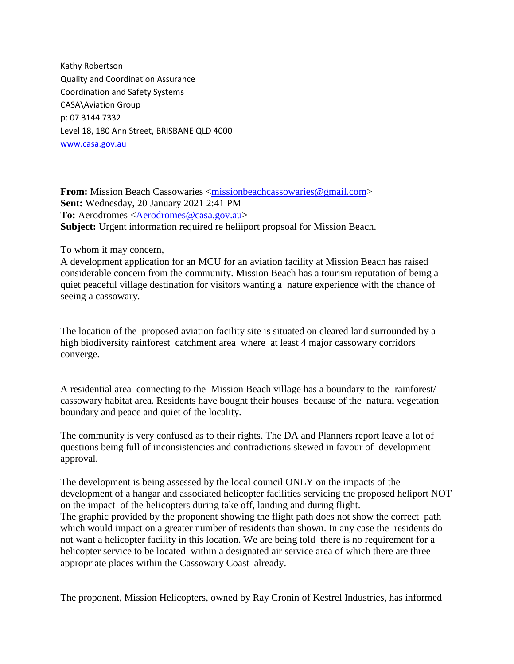Kathy Robertson Quality and Coordination Assurance Coordination and Safety Systems CASA\Aviation Group p: 07 3144 7332 Level 18, 180 Ann Street, BRISBANE QLD 4000 [www.casa.gov.au](http://www.casa.gov.au/)

**From:** Mission Beach Cassowaries [<missionbeachcassowaries@gmail.com>](mailto:missionbeachcassowaries@gmail.com) **Sent:** Wednesday, 20 January 2021 2:41 PM To: Aerodromes [<Aerodromes@casa.gov.au>](mailto:Aerodromes@casa.gov.au) **Subject:** Urgent information required re heliiport propsoal for Mission Beach.

To whom it may concern,

A development application for an MCU for an aviation facility at Mission Beach has raised considerable concern from the community. Mission Beach has a tourism reputation of being a quiet peaceful village destination for visitors wanting a nature experience with the chance of seeing a cassowary.

The location of the proposed aviation facility site is situated on cleared land surrounded by a high biodiversity rainforest catchment area where at least 4 major cassowary corridors converge.

A residential area connecting to the Mission Beach village has a boundary to the rainforest/ cassowary habitat area. Residents have bought their houses because of the natural vegetation boundary and peace and quiet of the locality.

The community is very confused as to their rights. The DA and Planners report leave a lot of questions being full of inconsistencies and contradictions skewed in favour of development approval.

The development is being assessed by the local council ONLY on the impacts of the development of a hangar and associated helicopter facilities servicing the proposed heliport NOT on the impact of the helicopters during take off, landing and during flight. The graphic provided by the proponent showing the flight path does not show the correct path which would impact on a greater number of residents than shown. In any case the residents do not want a helicopter facility in this location. We are being told there is no requirement for a helicopter service to be located within a designated air service area of which there are three appropriate places within the Cassowary Coast already.

The proponent, Mission Helicopters, owned by Ray Cronin of Kestrel Industries, has informed